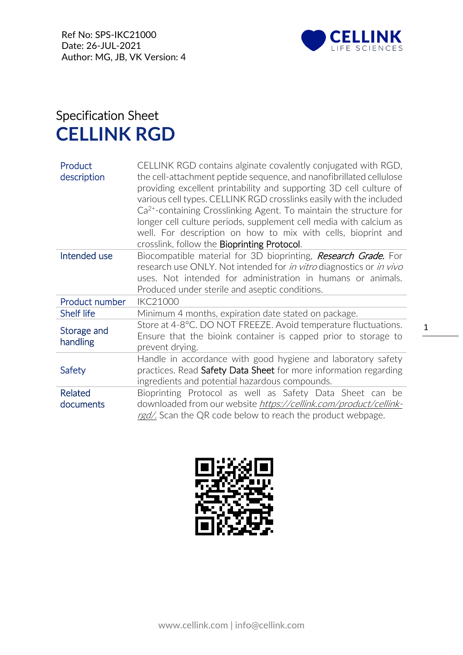

## Specification Sheet **CELLINK RGD**

| Product<br>description      | CELLINK RGD contains alginate covalently conjugated with RGD,<br>the cell-attachment peptide sequence, and nanofibrillated cellulose<br>providing excellent printability and supporting 3D cell culture of<br>various cell types. CELLINK RGD crosslinks easily with the included<br>$Ca2+$ -containing Crosslinking Agent. To maintain the structure for<br>longer cell culture periods, supplement cell media with calcium as<br>well. For description on how to mix with cells, bioprint and<br>crosslink, follow the <b>Bioprinting Protocol.</b> |  |
|-----------------------------|-------------------------------------------------------------------------------------------------------------------------------------------------------------------------------------------------------------------------------------------------------------------------------------------------------------------------------------------------------------------------------------------------------------------------------------------------------------------------------------------------------------------------------------------------------|--|
| Intended use                | Biocompatible material for 3D bioprinting, <i>Research Grade</i> . For<br>research use ONLY. Not intended for <i>in vitro</i> diagnostics or <i>in vivo</i><br>uses. Not intended for administration in humans or animals.                                                                                                                                                                                                                                                                                                                            |  |
|                             | Produced under sterile and aseptic conditions.                                                                                                                                                                                                                                                                                                                                                                                                                                                                                                        |  |
| Product number              | <b>IKC21000</b>                                                                                                                                                                                                                                                                                                                                                                                                                                                                                                                                       |  |
| Shelf life                  | Minimum 4 months, expiration date stated on package.                                                                                                                                                                                                                                                                                                                                                                                                                                                                                                  |  |
| Storage and<br>handling     | Store at 4-8°C. DO NOT FREEZE. Avoid temperature fluctuations.<br>Ensure that the bioink container is capped prior to storage to<br>prevent drying.                                                                                                                                                                                                                                                                                                                                                                                                   |  |
| Safety                      | Handle in accordance with good hygiene and laboratory safety<br>practices. Read Safety Data Sheet for more information regarding<br>ingredients and potential hazardous compounds.                                                                                                                                                                                                                                                                                                                                                                    |  |
| <b>Related</b><br>documents | Bioprinting Protocol as well as Safety Data Sheet can be<br>downloaded from our website https://cellink.com/product/cellink-<br>red/. Scan the QR code below to reach the product webpage.                                                                                                                                                                                                                                                                                                                                                            |  |